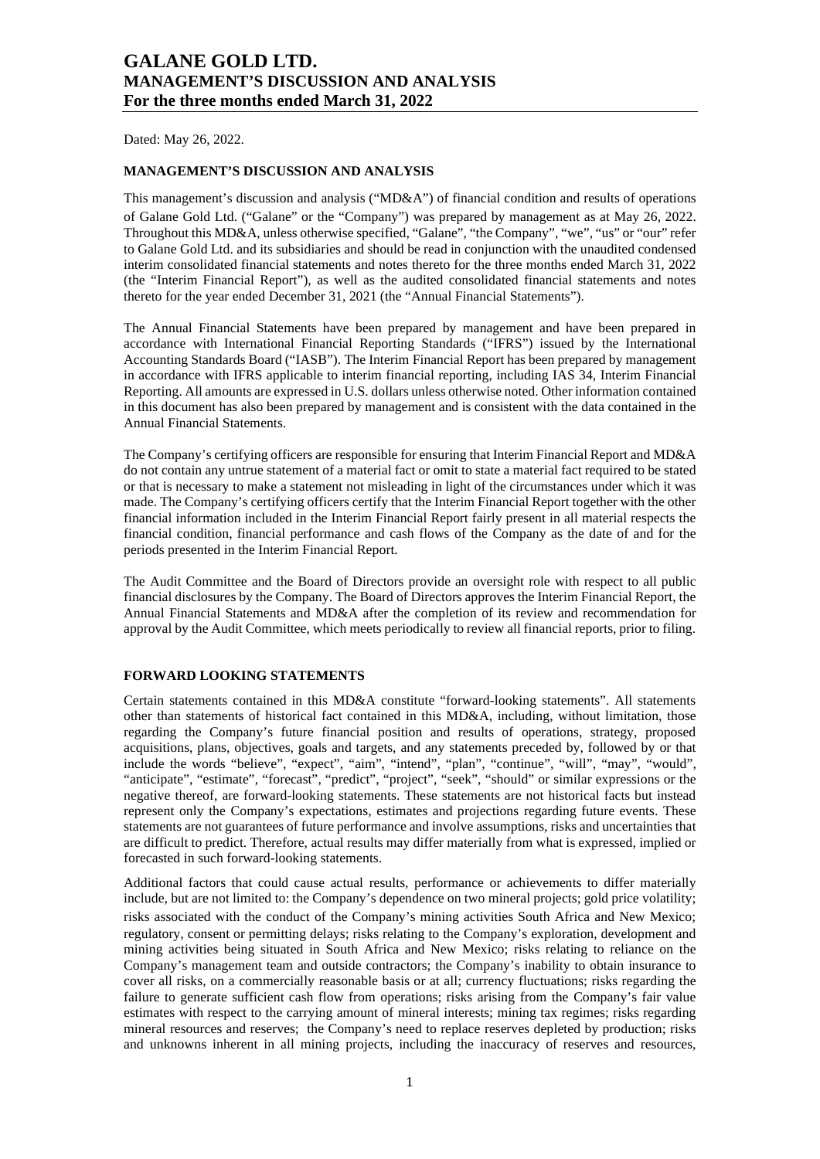Dated: May 26, 2022.

#### **MANAGEMENT'S DISCUSSION AND ANALYSIS**

This management's discussion and analysis ("MD&A") of financial condition and results of operations of Galane Gold Ltd. ("Galane" or the "Company") was prepared by management as at May 26, 2022. Throughout this MD&A, unless otherwise specified, "Galane", "the Company", "we", "us" or "our" refer to Galane Gold Ltd. and its subsidiaries and should be read in conjunction with the unaudited condensed interim consolidated financial statements and notes thereto for the three months ended March 31, 2022 (the "Interim Financial Report"), as well as the audited consolidated financial statements and notes thereto for the year ended December 31, 2021 (the "Annual Financial Statements").

The Annual Financial Statements have been prepared by management and have been prepared in accordance with International Financial Reporting Standards ("IFRS") issued by the International Accounting Standards Board ("IASB"). The Interim Financial Report has been prepared by management in accordance with IFRS applicable to interim financial reporting, including IAS 34, Interim Financial Reporting. All amounts are expressed in U.S. dollars unless otherwise noted. Other information contained in this document has also been prepared by management and is consistent with the data contained in the Annual Financial Statements.

The Company's certifying officers are responsible for ensuring that Interim Financial Report and MD&A do not contain any untrue statement of a material fact or omit to state a material fact required to be stated or that is necessary to make a statement not misleading in light of the circumstances under which it was made. The Company's certifying officers certify that the Interim Financial Report together with the other financial information included in the Interim Financial Report fairly present in all material respects the financial condition, financial performance and cash flows of the Company as the date of and for the periods presented in the Interim Financial Report.

The Audit Committee and the Board of Directors provide an oversight role with respect to all public financial disclosures by the Company. The Board of Directors approves the Interim Financial Report, the Annual Financial Statements and MD&A after the completion of its review and recommendation for approval by the Audit Committee, which meets periodically to review all financial reports, prior to filing.

#### **FORWARD LOOKING STATEMENTS**

Certain statements contained in this MD&A constitute "forward-looking statements". All statements other than statements of historical fact contained in this MD&A, including, without limitation, those regarding the Company's future financial position and results of operations, strategy, proposed acquisitions, plans, objectives, goals and targets, and any statements preceded by, followed by or that include the words "believe", "expect", "aim", "intend", "plan", "continue", "will", "may", "would", "anticipate", "estimate", "forecast", "predict", "project", "seek", "should" or similar expressions or the negative thereof, are forward-looking statements. These statements are not historical facts but instead represent only the Company's expectations, estimates and projections regarding future events. These statements are not guarantees of future performance and involve assumptions, risks and uncertainties that are difficult to predict. Therefore, actual results may differ materially from what is expressed, implied or forecasted in such forward-looking statements.

Additional factors that could cause actual results, performance or achievements to differ materially include, but are not limited to: the Company's dependence on two mineral projects; gold price volatility; risks associated with the conduct of the Company's mining activities South Africa and New Mexico; regulatory, consent or permitting delays; risks relating to the Company's exploration, development and mining activities being situated in South Africa and New Mexico; risks relating to reliance on the Company's management team and outside contractors; the Company's inability to obtain insurance to cover all risks, on a commercially reasonable basis or at all; currency fluctuations; risks regarding the failure to generate sufficient cash flow from operations; risks arising from the Company's fair value estimates with respect to the carrying amount of mineral interests; mining tax regimes; risks regarding mineral resources and reserves; the Company's need to replace reserves depleted by production; risks and unknowns inherent in all mining projects, including the inaccuracy of reserves and resources,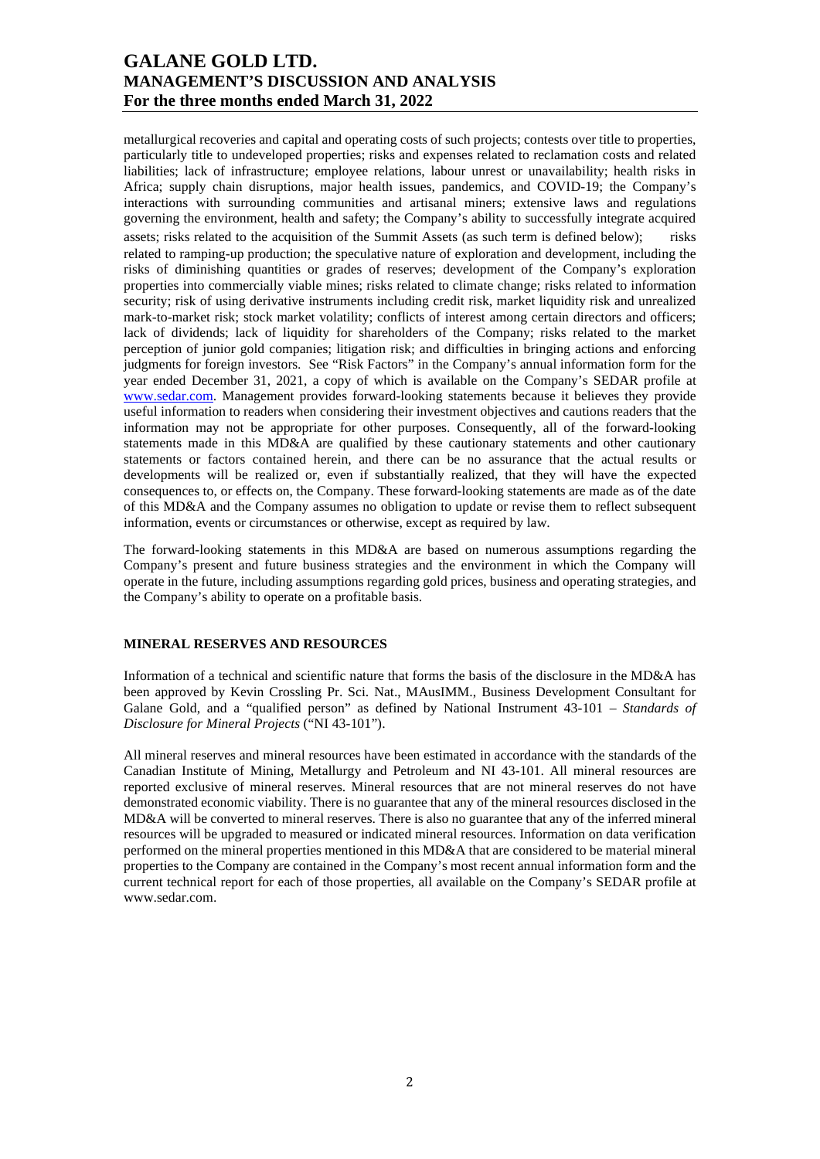metallurgical recoveries and capital and operating costs of such projects; contests over title to properties, particularly title to undeveloped properties; risks and expenses related to reclamation costs and related liabilities; lack of infrastructure; employee relations, labour unrest or unavailability; health risks in Africa; supply chain disruptions, major health issues, pandemics, and COVID-19; the Company's interactions with surrounding communities and artisanal miners; extensive laws and regulations governing the environment, health and safety; the Company's ability to successfully integrate acquired assets; risks related to the acquisition of the Summit Assets (as such term is defined below); risks related to ramping-up production; the speculative nature of exploration and development, including the risks of diminishing quantities or grades of reserves; development of the Company's exploration properties into commercially viable mines; risks related to climate change; risks related to information security; risk of using derivative instruments including credit risk, market liquidity risk and unrealized mark-to-market risk; stock market volatility; conflicts of interest among certain directors and officers; lack of dividends; lack of liquidity for shareholders of the Company; risks related to the market perception of junior gold companies; litigation risk; and difficulties in bringing actions and enforcing judgments for foreign investors. See "Risk Factors" in the Company's annual information form for the year ended December 31, 2021, a copy of which is available on the Company's SEDAR profile at www.sedar.com. Management provides forward-looking statements because it believes they provide useful information to readers when considering their investment objectives and cautions readers that the information may not be appropriate for other purposes. Consequently, all of the forward-looking statements made in this MD&A are qualified by these cautionary statements and other cautionary statements or factors contained herein, and there can be no assurance that the actual results or developments will be realized or, even if substantially realized, that they will have the expected consequences to, or effects on, the Company. These forward-looking statements are made as of the date of this MD&A and the Company assumes no obligation to update or revise them to reflect subsequent information, events or circumstances or otherwise, except as required by law.

The forward-looking statements in this MD&A are based on numerous assumptions regarding the Company's present and future business strategies and the environment in which the Company will operate in the future, including assumptions regarding gold prices, business and operating strategies, and the Company's ability to operate on a profitable basis.

#### **MINERAL RESERVES AND RESOURCES**

Information of a technical and scientific nature that forms the basis of the disclosure in the MD&A has been approved by Kevin Crossling Pr. Sci. Nat., MAusIMM., Business Development Consultant for Galane Gold, and a "qualified person" as defined by National Instrument 43-101 – *Standards of Disclosure for Mineral Projects* ("NI 43-101").

All mineral reserves and mineral resources have been estimated in accordance with the standards of the Canadian Institute of Mining, Metallurgy and Petroleum and NI 43-101. All mineral resources are reported exclusive of mineral reserves. Mineral resources that are not mineral reserves do not have demonstrated economic viability. There is no guarantee that any of the mineral resources disclosed in the MD&A will be converted to mineral reserves. There is also no guarantee that any of the inferred mineral resources will be upgraded to measured or indicated mineral resources. Information on data verification performed on the mineral properties mentioned in this MD&A that are considered to be material mineral properties to the Company are contained in the Company's most recent annual information form and the current technical report for each of those properties, all available on the Company's SEDAR profile at www.sedar.com.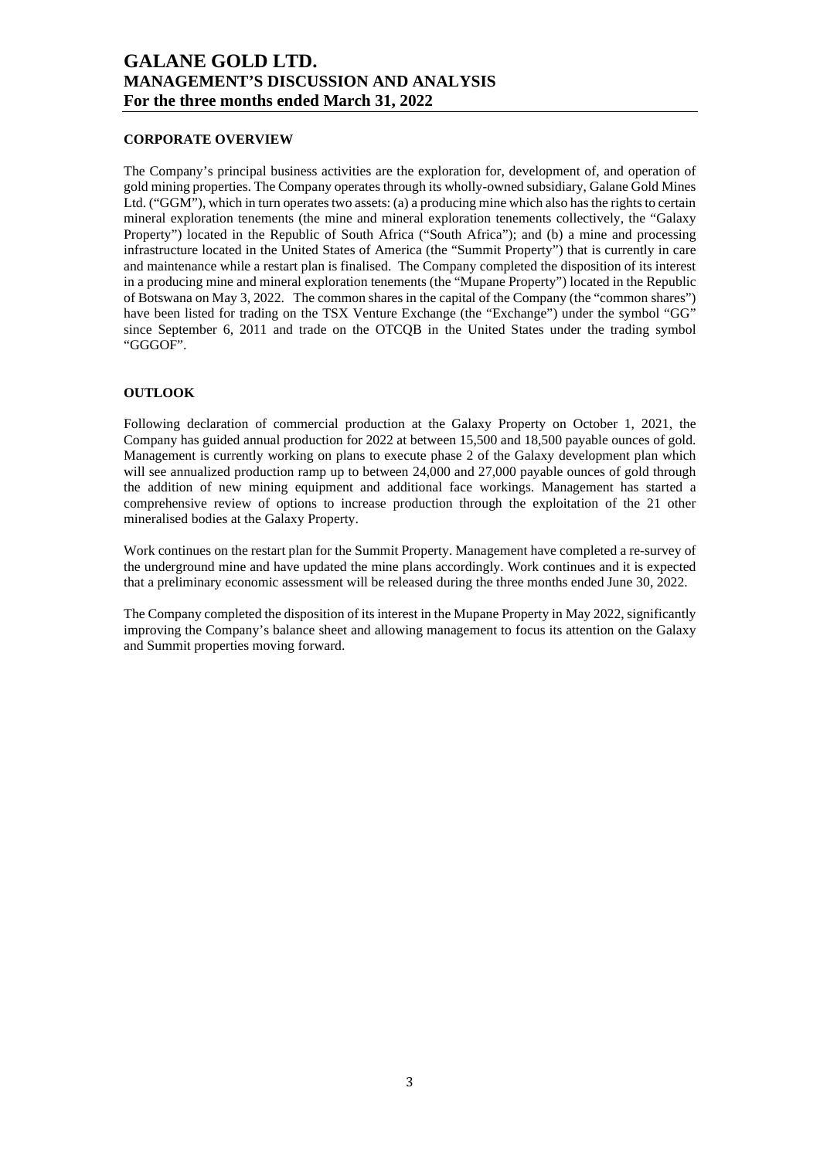### **CORPORATE OVERVIEW**

The Company's principal business activities are the exploration for, development of, and operation of gold mining properties. The Company operates through its wholly-owned subsidiary, Galane Gold Mines Ltd. ("GGM"), which in turn operates two assets: (a) a producing mine which also has the rights to certain mineral exploration tenements (the mine and mineral exploration tenements collectively, the "Galaxy Property") located in the Republic of South Africa ("South Africa"); and (b) a mine and processing infrastructure located in the United States of America (the "Summit Property") that is currently in care and maintenance while a restart plan is finalised. The Company completed the disposition of its interest in a producing mine and mineral exploration tenements (the "Mupane Property") located in the Republic of Botswana on May 3, 2022. The common shares in the capital of the Company (the "common shares") have been listed for trading on the TSX Venture Exchange (the "Exchange") under the symbol "GG" since September 6, 2011 and trade on the OTCQB in the United States under the trading symbol "GGGOF".

### **OUTLOOK**

Following declaration of commercial production at the Galaxy Property on October 1, 2021, the Company has guided annual production for 2022 at between 15,500 and 18,500 payable ounces of gold. Management is currently working on plans to execute phase 2 of the Galaxy development plan which will see annualized production ramp up to between 24,000 and 27,000 payable ounces of gold through the addition of new mining equipment and additional face workings. Management has started a comprehensive review of options to increase production through the exploitation of the 21 other mineralised bodies at the Galaxy Property.

Work continues on the restart plan for the Summit Property. Management have completed a re-survey of the underground mine and have updated the mine plans accordingly. Work continues and it is expected that a preliminary economic assessment will be released during the three months ended June 30, 2022.

The Company completed the disposition of its interest in the Mupane Property in May 2022, significantly improving the Company's balance sheet and allowing management to focus its attention on the Galaxy and Summit properties moving forward.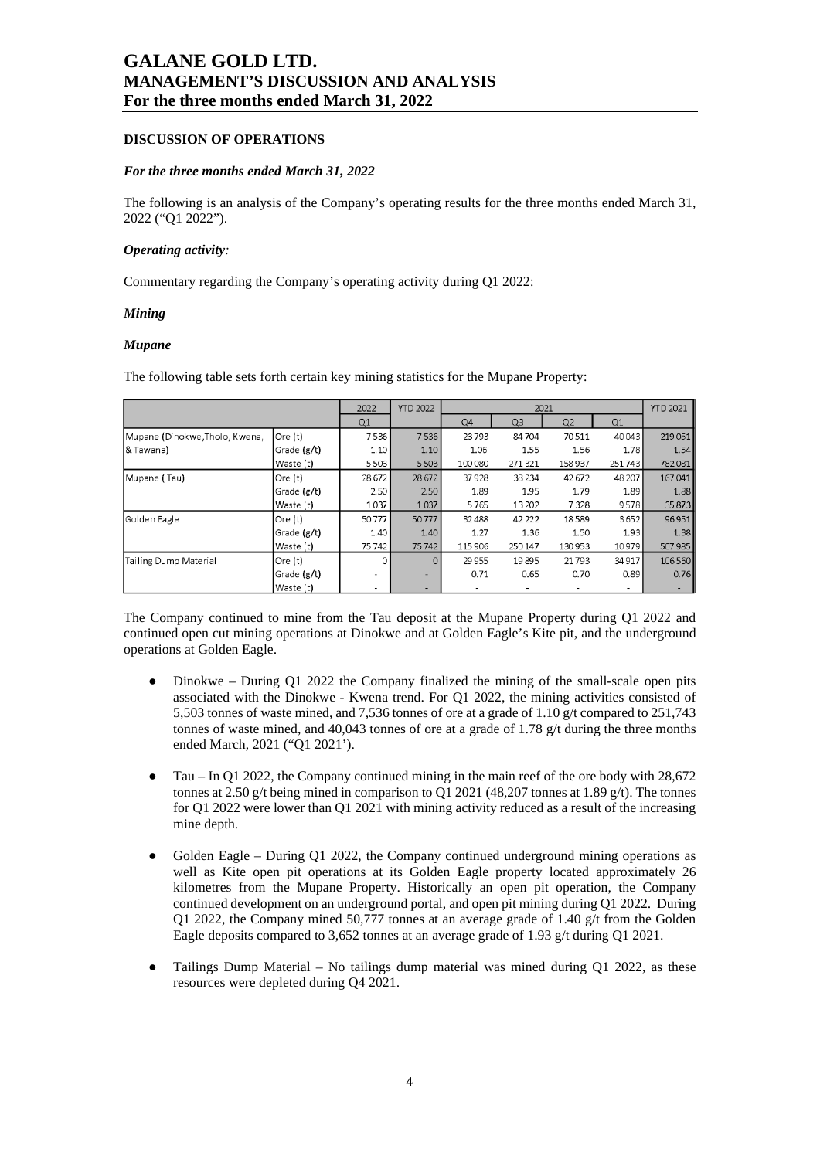#### **DISCUSSION OF OPERATIONS**

#### *For the three months ended March 31, 2022*

The following is an analysis of the Company's operating results for the three months ended March 31, 2022 ("Q1 2022").

#### *Operating activity:*

Commentary regarding the Company's operating activity during Q1 2022:

#### *Mining*

#### *Mupane*

The following table sets forth certain key mining statistics for the Mupane Property:

|                                |             | 2022                     | <b>YTD 2022</b> |         |         | 2021    |        | <b>YTD 2021</b> |
|--------------------------------|-------------|--------------------------|-----------------|---------|---------|---------|--------|-----------------|
|                                |             | Q1                       |                 | Q4      | Q3      | Q2      | Q1     |                 |
| Mupane (Dinokwe, Tholo, Kwena, | Ore (t)     | 7536                     | 7536            | 23793   | 84704   | 70511   | 40043  | 219051          |
| & Tawana)                      | Grade (g/t) | 1.10                     | 1.10            | 1.06    | 1.55    | 1.56    | 1.78   | 1.54            |
|                                | Waste (t)   | 5503                     | 5503            | 100 080 | 271 321 | 158 937 | 251743 | 782081          |
| Mupane (Tau)                   | Ore (t)     | 28 672                   | 28 672          | 37928   | 38 2 34 | 42672   | 48 207 | 167041          |
|                                | Grade (g/t) | 2.50                     | 2.50            | 1.89    | 1.95    | 1.79    | 1.89   | 1.88            |
|                                | Waste (t)   | 1037                     | 1037            | 5765    | 13 20 2 | 7328    | 9578   | 35 87 3         |
| Golden Eagle                   | Ore (t)     | 50777                    | 50777           | 32488   | 42 22 2 | 18589   | 3652   | 96951           |
|                                | Grade (g/t) | 1.40                     | 1.40            | 1.27    | 1.36    | 1.50    | 1.93   | 1.38            |
|                                | Waste (t)   | 75742                    | 75742           | 115 906 | 250 147 | 130953  | 10979  | 507 985         |
| <b>Tailing Dump Material</b>   | Ore (t)     | $\Omega$                 | $\Omega$        | 29 9 55 | 19895   | 21793   | 34 917 | 106 560         |
|                                | Grade (g/t) | $\overline{\phantom{a}}$ |                 | 0.71    | 0.65    | 0.70    | 0.89   | 0.76            |
|                                | Waste (t)   |                          |                 | -       |         | -       | ۰      |                 |

The Company continued to mine from the Tau deposit at the Mupane Property during Q1 2022 and continued open cut mining operations at Dinokwe and at Golden Eagle's Kite pit, and the underground operations at Golden Eagle.

- $\bullet$  Dinokwe During Q1 2022 the Company finalized the mining of the small-scale open pits associated with the Dinokwe - Kwena trend. For Q1 2022, the mining activities consisted of 5,503 tonnes of waste mined, and 7,536 tonnes of ore at a grade of 1.10 g/t compared to 251,743 tonnes of waste mined, and 40,043 tonnes of ore at a grade of 1.78 g/t during the three months ended March, 2021 ("Q1 2021').
- Tau In Q1 2022, the Company continued mining in the main reef of the ore body with 28,672 tonnes at 2.50 g/t being mined in comparison to Q1 2021 (48,207 tonnes at 1.89 g/t). The tonnes for Q1 2022 were lower than Q1 2021 with mining activity reduced as a result of the increasing mine depth.
- Golden Eagle During Q1 2022, the Company continued underground mining operations as well as Kite open pit operations at its Golden Eagle property located approximately 26 kilometres from the Mupane Property. Historically an open pit operation, the Company continued development on an underground portal, and open pit mining during Q1 2022. During Q1 2022, the Company mined 50,777 tonnes at an average grade of 1.40  $g/t$  from the Golden Eagle deposits compared to 3,652 tonnes at an average grade of 1.93 g/t during Q1 2021.
- Tailings Dump Material No tailings dump material was mined during Q1 2022, as these resources were depleted during Q4 2021.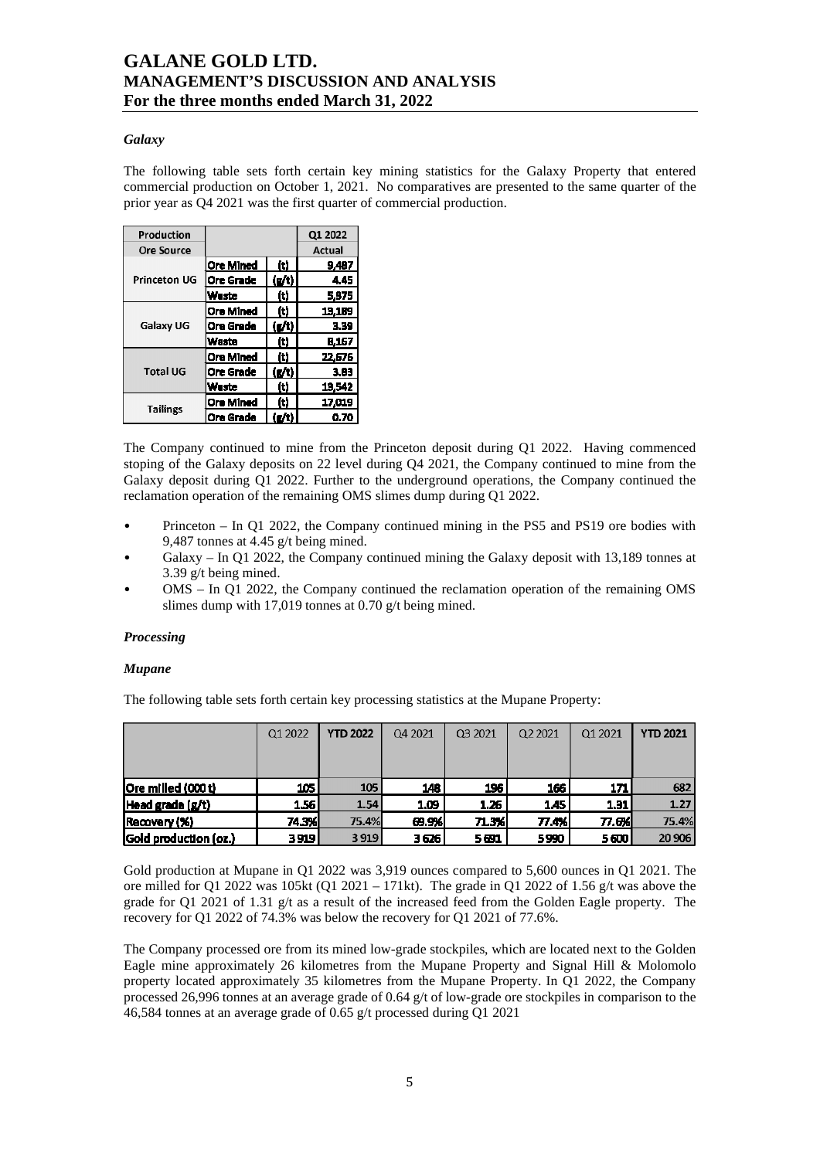### *Galaxy*

The following table sets forth certain key mining statistics for the Galaxy Property that entered commercial production on October 1, 2021. No comparatives are presented to the same quarter of the prior year as Q4 2021 was the first quarter of commercial production.

| Production        |                  |                                      | Q1 2022 |
|-------------------|------------------|--------------------------------------|---------|
| <b>Ore Source</b> |                  |                                      | Actual  |
|                   | <b>Ore Mined</b> | Iti                                  | 9,487   |
| Princeton UG      | Ore Grade        | $\left(\mathbf{g}/\mathbf{t}\right)$ | 4.45    |
|                   | <b>Waste</b>     | (t)                                  | 5.375   |
| Galaxy UG         | <b>Ore Mined</b> | (t)                                  | 13.189  |
|                   | <b>Ore Grade</b> | (g/t)                                | 3.39    |
|                   | <b>Waste</b>     | (t)                                  | 8.167   |
|                   | <b>Ore Mined</b> | (t)                                  | 22,676  |
| <b>Total UG</b>   | Ore Grade        | $\left(\mathbf{g}/\mathbf{t}\right)$ | 3.83    |
|                   | <b>Waste</b>     | (t)                                  | 13,542  |
|                   | <b>Ore Mined</b> | m                                    | 17,019  |
| <b>Tailings</b>   | <b>Ore Grade</b> | ig/ti                                | 0.70    |

The Company continued to mine from the Princeton deposit during Q1 2022. Having commenced stoping of the Galaxy deposits on 22 level during Q4 2021, the Company continued to mine from the Galaxy deposit during Q1 2022. Further to the underground operations, the Company continued the reclamation operation of the remaining OMS slimes dump during Q1 2022.

- Princeton In Q1 2022, the Company continued mining in the PS5 and PS19 ore bodies with 9,487 tonnes at 4.45 g/t being mined.
- Galaxy In Q1 2022, the Company continued mining the Galaxy deposit with 13,189 tonnes at 3.39 g/t being mined.
- OMS In Q1 2022, the Company continued the reclamation operation of the remaining OMS slimes dump with 17,019 tonnes at 0.70 g/t being mined.

### *Processing*

### *Mupane*

The following table sets forth certain key processing statistics at the Mupane Property:

|                       | Q1 2022 | <b>YTD 2022</b> | Q4 2021 | Q3 2021 | Q2 2021 | Q1 2021 | <b>YTD 2021</b> |
|-----------------------|---------|-----------------|---------|---------|---------|---------|-----------------|
|                       |         |                 |         |         |         |         |                 |
|                       |         |                 |         |         |         |         |                 |
| Ore milled (000t)     | 105 l   | 105             | 148     | 196     | 166     | 171     | 682             |
| $ Head\,grad e(g/t) $ | 1.56    | 1.54            | 1.09    | 1.26    | 1.45    | 1.31    | 1.27            |
| Recovery (%)          | 74.3%   | 75.4%           | 69.9%   | 71.3%   | 77.4% I | 77.6%I  | 75.4%           |
| Gold production (oz.) | 3919 l  | 3919            | 3 6 26  | 5691    | 5990    | 5600    | 20 906          |

Gold production at Mupane in Q1 2022 was 3,919 ounces compared to 5,600 ounces in Q1 2021. The ore milled for Q1 2022 was 105kt (Q1 2021 – 171kt). The grade in Q1 2022 of 1.56 g/t was above the grade for Q1 2021 of 1.31 g/t as a result of the increased feed from the Golden Eagle property. The recovery for Q1 2022 of 74.3% was below the recovery for Q1 2021 of 77.6%.

The Company processed ore from its mined low-grade stockpiles, which are located next to the Golden Eagle mine approximately 26 kilometres from the Mupane Property and Signal Hill & Molomolo property located approximately 35 kilometres from the Mupane Property. In Q1 2022, the Company processed 26,996 tonnes at an average grade of 0.64 g/t of low-grade ore stockpiles in comparison to the 46,584 tonnes at an average grade of 0.65 g/t processed during Q1 2021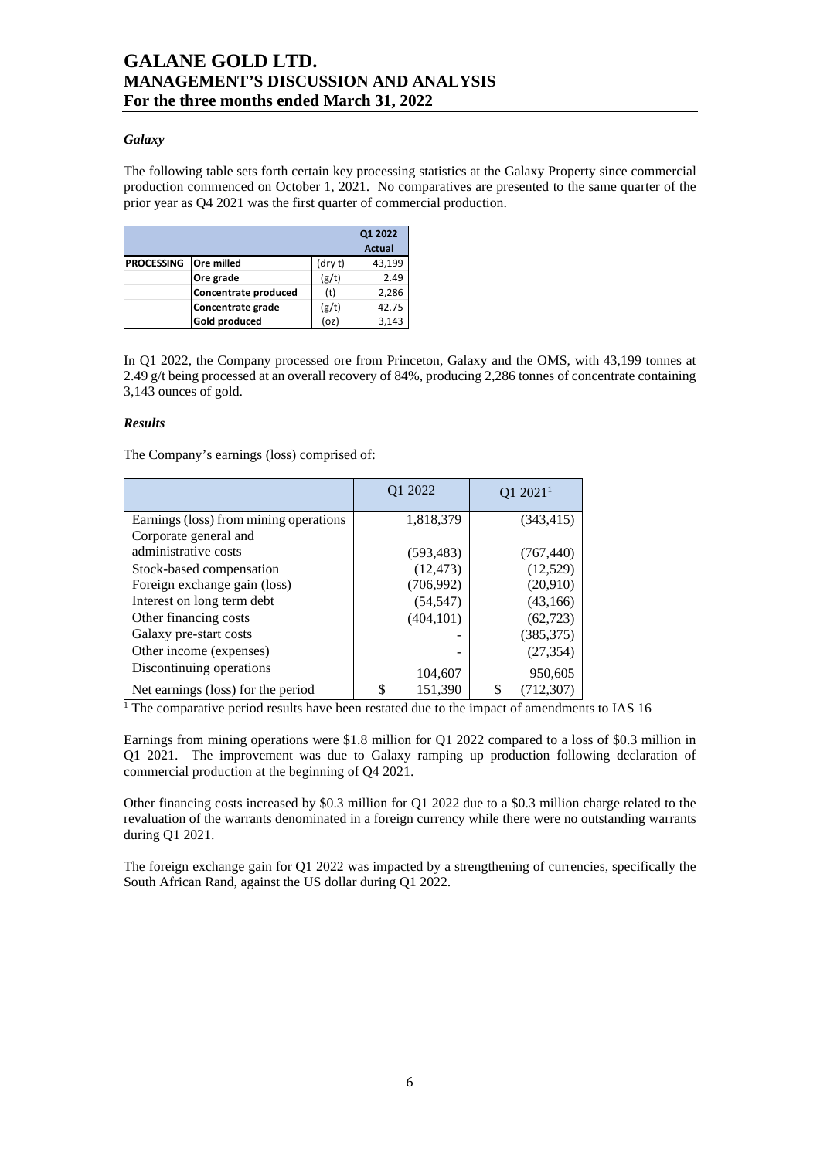### *Galaxy*

The following table sets forth certain key processing statistics at the Galaxy Property since commercial production commenced on October 1, 2021. No comparatives are presented to the same quarter of the prior year as Q4 2021 was the first quarter of commercial production.

|                   |                      |         | Q1 2022       |
|-------------------|----------------------|---------|---------------|
|                   |                      |         | <b>Actual</b> |
| <b>PROCESSING</b> | <b>Ore milled</b>    | (dry t) | 43,199        |
|                   | Ore grade            | (g/t)   | 2.49          |
|                   | Concentrate produced | (t)     | 2,286         |
|                   | Concentrate grade    | (g/t)   | 42.75         |
|                   | Gold produced        | (oz)    | 3.143         |

In Q1 2022, the Company processed ore from Princeton, Galaxy and the OMS, with 43,199 tonnes at 2.49 g/t being processed at an overall recovery of 84%, producing 2,286 tonnes of concentrate containing 3,143 ounces of gold.

### *Results*

The Company's earnings (loss) comprised of:

|                                        | Q1 2022       | $Q1 2021$ <sup>1</sup> |
|----------------------------------------|---------------|------------------------|
| Earnings (loss) from mining operations | 1,818,379     | (343, 415)             |
| Corporate general and                  |               |                        |
| administrative costs                   | (593, 483)    | (767, 440)             |
| Stock-based compensation               | (12, 473)     | (12, 529)              |
| Foreign exchange gain (loss)           | (706, 992)    | (20,910)               |
| Interest on long term debt             | (54, 547)     | (43,166)               |
| Other financing costs                  | (404, 101)    | (62, 723)              |
| Galaxy pre-start costs                 |               | (385, 375)             |
| Other income (expenses)                |               | (27, 354)              |
| Discontinuing operations               | 104,607       | 950,605                |
| Net earnings (loss) for the period     | \$<br>151.390 | (712.307)              |

<sup>1</sup> The comparative period results have been restated due to the impact of amendments to IAS 16

Earnings from mining operations were \$1.8 million for Q1 2022 compared to a loss of \$0.3 million in Q1 2021. The improvement was due to Galaxy ramping up production following declaration of commercial production at the beginning of Q4 2021.

Other financing costs increased by \$0.3 million for Q1 2022 due to a \$0.3 million charge related to the revaluation of the warrants denominated in a foreign currency while there were no outstanding warrants during Q1 2021.

The foreign exchange gain for Q1 2022 was impacted by a strengthening of currencies, specifically the South African Rand, against the US dollar during Q1 2022.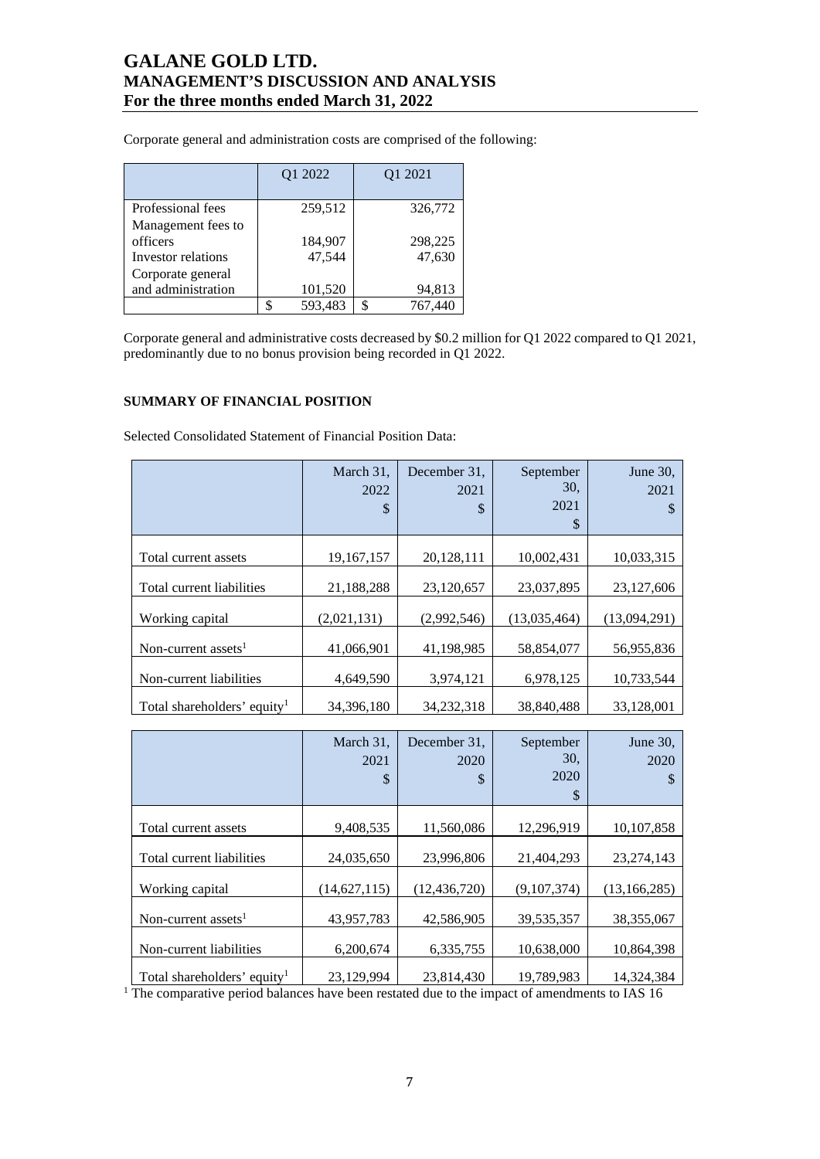Corporate general and administration costs are comprised of the following:

|                                | Q1 2022           | Q1 2021      |
|--------------------------------|-------------------|--------------|
| Professional fees              | 259,512           | 326,772      |
| Management fees to<br>officers |                   | 298,225      |
| Investor relations             | 184,907<br>47,544 | 47,630       |
| Corporate general              |                   |              |
| and administration             | 101,520           | 94,813       |
|                                | 593,483           | 767,440<br>¢ |

Corporate general and administrative costs decreased by \$0.2 million for Q1 2022 compared to Q1 2021, predominantly due to no bonus provision being recorded in Q1 2022.

### **SUMMARY OF FINANCIAL POSITION**

Selected Consolidated Statement of Financial Position Data:

|                                         | March 31,<br>2022<br>\$ | December 31.<br>2021<br>\$ | September<br>30,<br>2021<br>\$ | June $30$ .<br>2021<br>S |
|-----------------------------------------|-------------------------|----------------------------|--------------------------------|--------------------------|
| Total current assets                    | 19,167,157              | 20,128,111                 | 10,002,431                     | 10,033,315               |
| Total current liabilities               | 21,188,288              | 23,120,657                 | 23,037,895                     | 23,127,606               |
| Working capital                         | (2,021,131)             | (2,992,546)                | (13,035,464)                   | (13,094,291)             |
| Non-current assets <sup>1</sup>         | 41,066,901              | 41,198,985                 | 58,854,077                     | 56,955,836               |
| Non-current liabilities                 | 4,649,590               | 3,974,121                  | 6,978,125                      | 10,733,544               |
| Total shareholders' equity <sup>1</sup> | 34, 396, 180            | 34, 232, 318               | 38,840,488                     | 33,128,001               |

|                                         | March 31,<br>2021<br>\$ | December 31,<br>2020<br>\$ | September<br>30.<br>2020<br>\$ | June 30,<br>2020<br>S |
|-----------------------------------------|-------------------------|----------------------------|--------------------------------|-----------------------|
| Total current assets                    | 9,408,535               | 11,560,086                 | 12,296,919                     | 10,107,858            |
| Total current liabilities               | 24,035,650              | 23,996,806                 | 21,404,293                     | 23, 274, 143          |
| Working capital                         | (14, 627, 115)          | (12, 436, 720)             | (9,107,374)                    | (13, 166, 285)        |
| Non-current assets <sup>1</sup>         | 43,957,783              | 42,586,905                 | 39, 535, 357                   | 38, 355, 067          |
| Non-current liabilities                 | 6,200,674               | 6,335,755                  | 10,638,000                     | 10,864,398            |
| Total shareholders' equity <sup>1</sup> | 23,129,994              | 23,814,430                 | 19,789,983                     | 14,324,384            |

<sup>1</sup> The comparative period balances have been restated due to the impact of amendments to IAS 16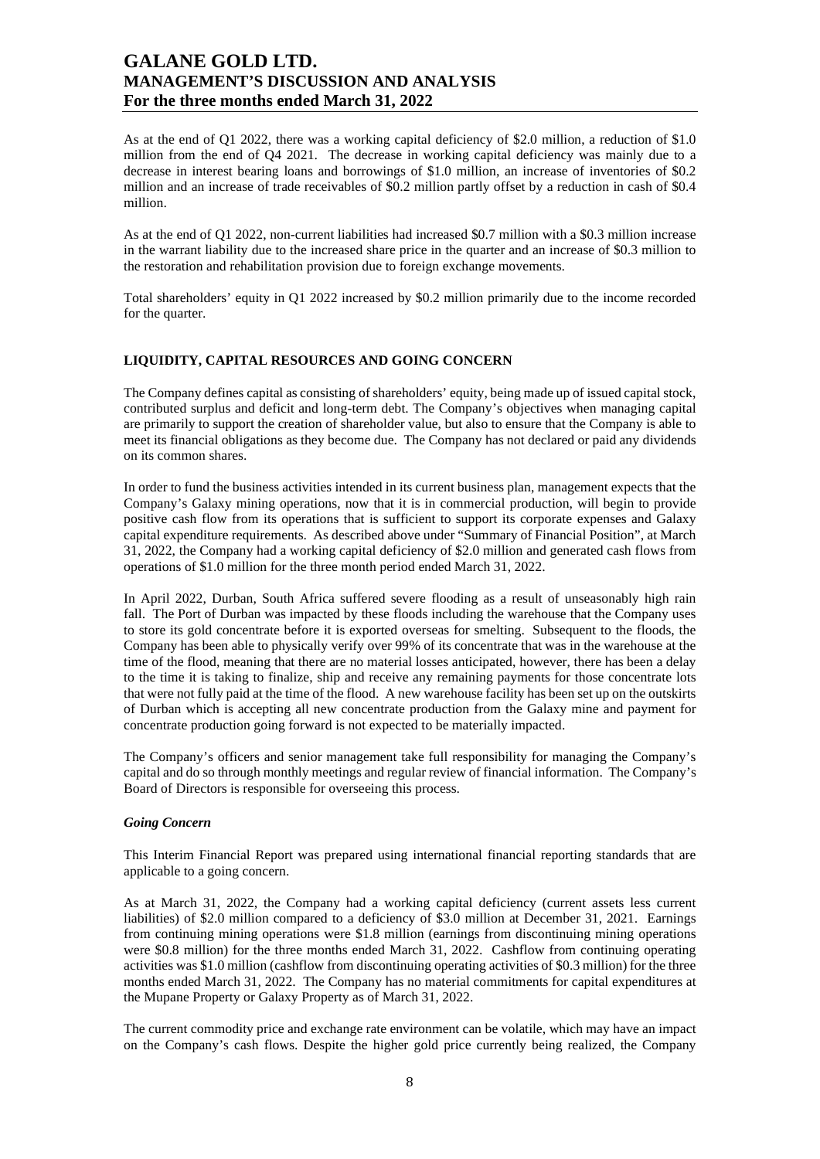As at the end of Q1 2022, there was a working capital deficiency of \$2.0 million, a reduction of \$1.0 million from the end of Q4 2021. The decrease in working capital deficiency was mainly due to a decrease in interest bearing loans and borrowings of \$1.0 million, an increase of inventories of \$0.2 million and an increase of trade receivables of \$0.2 million partly offset by a reduction in cash of \$0.4 million.

As at the end of Q1 2022, non-current liabilities had increased \$0.7 million with a \$0.3 million increase in the warrant liability due to the increased share price in the quarter and an increase of \$0.3 million to the restoration and rehabilitation provision due to foreign exchange movements.

Total shareholders' equity in Q1 2022 increased by \$0.2 million primarily due to the income recorded for the quarter.

### **LIQUIDITY, CAPITAL RESOURCES AND GOING CONCERN**

The Company defines capital as consisting of shareholders' equity, being made up of issued capital stock, contributed surplus and deficit and long-term debt. The Company's objectives when managing capital are primarily to support the creation of shareholder value, but also to ensure that the Company is able to meet its financial obligations as they become due. The Company has not declared or paid any dividends on its common shares.

In order to fund the business activities intended in its current business plan, management expects that the Company's Galaxy mining operations, now that it is in commercial production, will begin to provide positive cash flow from its operations that is sufficient to support its corporate expenses and Galaxy capital expenditure requirements. As described above under "Summary of Financial Position", at March 31, 2022, the Company had a working capital deficiency of \$2.0 million and generated cash flows from operations of \$1.0 million for the three month period ended March 31, 2022.

In April 2022, Durban, South Africa suffered severe flooding as a result of unseasonably high rain fall. The Port of Durban was impacted by these floods including the warehouse that the Company uses to store its gold concentrate before it is exported overseas for smelting. Subsequent to the floods, the Company has been able to physically verify over 99% of its concentrate that was in the warehouse at the time of the flood, meaning that there are no material losses anticipated, however, there has been a delay to the time it is taking to finalize, ship and receive any remaining payments for those concentrate lots that were not fully paid at the time of the flood. A new warehouse facility has been set up on the outskirts of Durban which is accepting all new concentrate production from the Galaxy mine and payment for concentrate production going forward is not expected to be materially impacted.

The Company's officers and senior management take full responsibility for managing the Company's capital and do so through monthly meetings and regular review of financial information. The Company's Board of Directors is responsible for overseeing this process.

#### *Going Concern*

This Interim Financial Report was prepared using international financial reporting standards that are applicable to a going concern.

As at March 31, 2022, the Company had a working capital deficiency (current assets less current liabilities) of \$2.0 million compared to a deficiency of \$3.0 million at December 31, 2021. Earnings from continuing mining operations were \$1.8 million (earnings from discontinuing mining operations were \$0.8 million) for the three months ended March 31, 2022. Cashflow from continuing operating activities was \$1.0 million (cashflow from discontinuing operating activities of \$0.3 million) for the three months ended March 31, 2022. The Company has no material commitments for capital expenditures at the Mupane Property or Galaxy Property as of March 31, 2022.

The current commodity price and exchange rate environment can be volatile, which may have an impact on the Company's cash flows. Despite the higher gold price currently being realized, the Company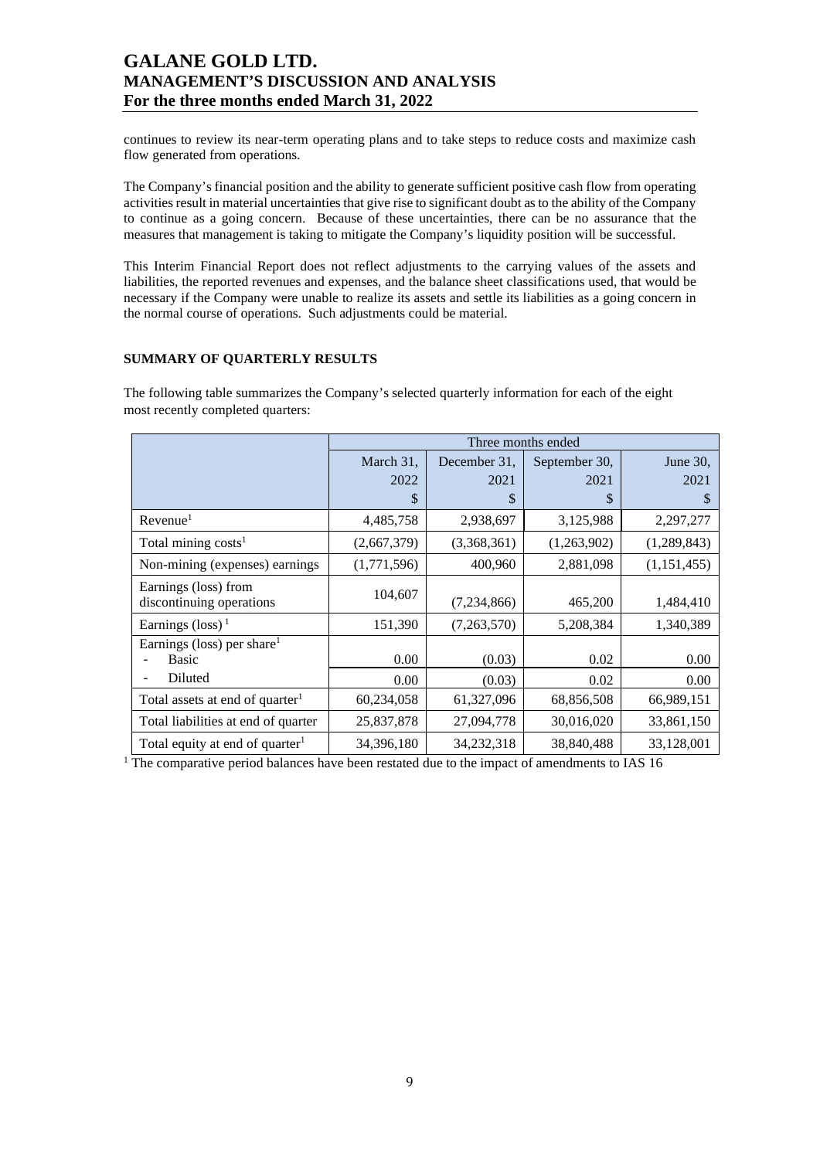continues to review its near-term operating plans and to take steps to reduce costs and maximize cash flow generated from operations.

The Company's financial position and the ability to generate sufficient positive cash flow from operating activities result in material uncertainties that give rise to significant doubt as to the ability of the Company to continue as a going concern. Because of these uncertainties, there can be no assurance that the measures that management is taking to mitigate the Company's liquidity position will be successful.

This Interim Financial Report does not reflect adjustments to the carrying values of the assets and liabilities, the reported revenues and expenses, and the balance sheet classifications used, that would be necessary if the Company were unable to realize its assets and settle its liabilities as a going concern in the normal course of operations. Such adjustments could be material.

### **SUMMARY OF QUARTERLY RESULTS**

The following table summarizes the Company's selected quarterly information for each of the eight most recently completed quarters:

|                                                        | Three months ended |               |               |             |  |  |  |
|--------------------------------------------------------|--------------------|---------------|---------------|-------------|--|--|--|
|                                                        | March 31,          | December 31.  | September 30, | June 30,    |  |  |  |
|                                                        | 2022               | 2021          | 2021          | 2021        |  |  |  |
|                                                        | \$                 | \$            | \$            | S           |  |  |  |
| Revenue <sup>1</sup>                                   | 4,485,758          | 2,938,697     | 3,125,988     | 2,297,277   |  |  |  |
| Total mining $costs1$                                  | (2,667,379)        | (3,368,361)   | (1,263,902)   | (1,289,843) |  |  |  |
| Non-mining (expenses) earnings                         | (1,771,596)        | 400,960       | 2,881,098     | (1,151,455) |  |  |  |
| Earnings (loss) from<br>discontinuing operations       | 104,607            | (7, 234, 866) | 465,200       | 1,484,410   |  |  |  |
| Earnings (loss) <sup>1</sup>                           | 151,390            | (7,263,570)   | 5,208,384     | 1,340,389   |  |  |  |
| Earnings (loss) per share <sup>1</sup><br><b>Basic</b> | 0.00               | (0.03)        | 0.02          | 0.00        |  |  |  |
| Diluted                                                | 0.00               | (0.03)        | 0.02          | 0.00        |  |  |  |
| Total assets at end of quarter <sup>1</sup>            | 60,234,058         | 61,327,096    | 68,856,508    | 66,989,151  |  |  |  |
| Total liabilities at end of quarter                    | 25,837,878         | 27,094,778    | 30,016,020    | 33,861,150  |  |  |  |
| Total equity at end of quarter <sup>1</sup>            | 34,396,180         | 34,232,318    | 38,840,488    | 33,128,001  |  |  |  |

<sup>1</sup> The comparative period balances have been restated due to the impact of amendments to IAS 16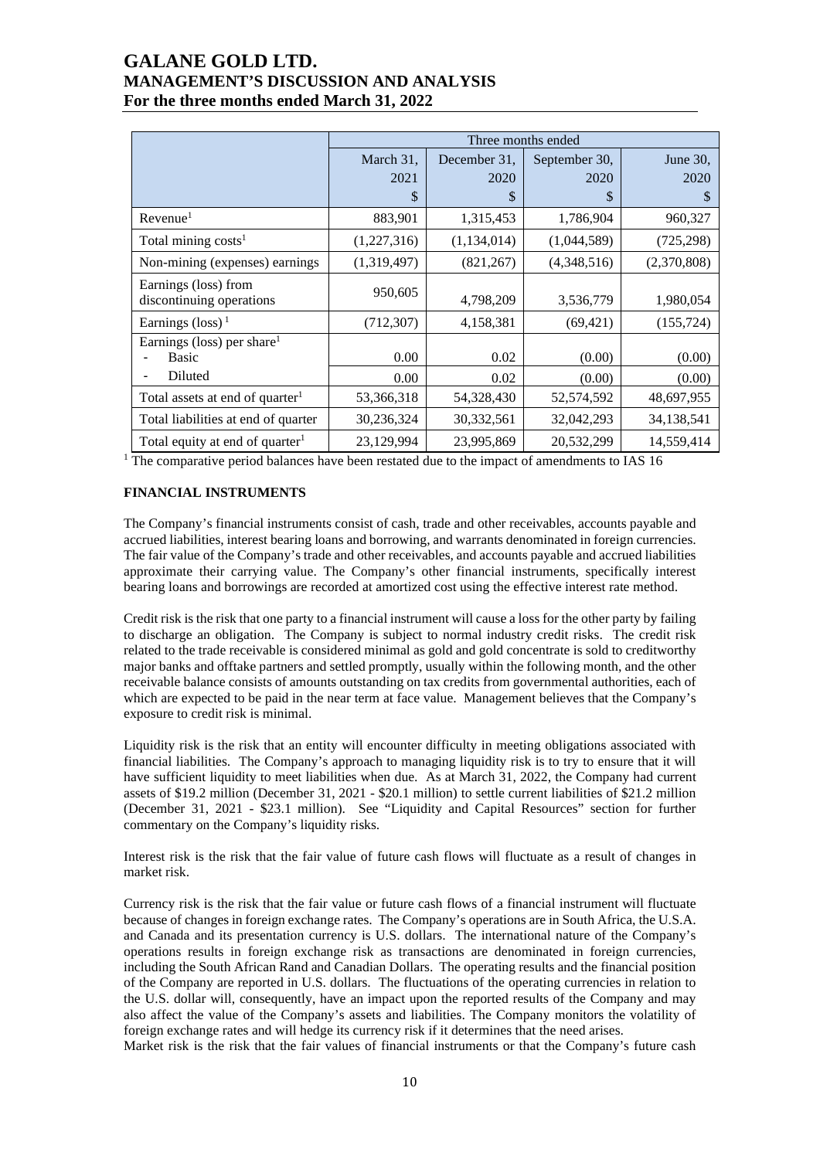|                                                  | Three months ended |              |               |             |  |  |  |
|--------------------------------------------------|--------------------|--------------|---------------|-------------|--|--|--|
|                                                  | March 31,          | December 31, | September 30, | June 30,    |  |  |  |
|                                                  | 2021               | 2020         | 2020          | 2020        |  |  |  |
|                                                  | \$                 | \$           | S             | S           |  |  |  |
| Revenue <sup>1</sup>                             | 883,901            | 1,315,453    | 1,786,904     | 960,327     |  |  |  |
| Total mining costs <sup>1</sup>                  | (1,227,316)        | (1,134,014)  | (1,044,589)   | (725, 298)  |  |  |  |
| Non-mining (expenses) earnings                   | (1,319,497)        | (821, 267)   | (4,348,516)   | (2,370,808) |  |  |  |
| Earnings (loss) from<br>discontinuing operations | 950,605            | 4,798,209    | 3,536,779     | 1,980,054   |  |  |  |
| Earnings (loss) <sup>1</sup>                     | (712, 307)         | 4,158,381    | (69, 421)     | (155, 724)  |  |  |  |
| Earnings (loss) per share <sup>1</sup>           |                    |              |               |             |  |  |  |
| <b>Basic</b>                                     | 0.00               | 0.02         | (0.00)        | (0.00)      |  |  |  |
| Diluted                                          | 0.00               | 0.02         | (0.00)        | (0.00)      |  |  |  |
| Total assets at end of quarter <sup>1</sup>      | 53,366,318         | 54,328,430   | 52,574,592    | 48,697,955  |  |  |  |
| Total liabilities at end of quarter              | 30,236,324         | 30,332,561   | 32,042,293    | 34,138,541  |  |  |  |
| Total equity at end of quarter <sup>1</sup>      | 23,129,994         | 23,995,869   | 20,532,299    | 14,559,414  |  |  |  |

<sup>1</sup> The comparative period balances have been restated due to the impact of amendments to IAS 16

### **FINANCIAL INSTRUMENTS**

The Company's financial instruments consist of cash, trade and other receivables, accounts payable and accrued liabilities, interest bearing loans and borrowing, and warrants denominated in foreign currencies. The fair value of the Company's trade and other receivables, and accounts payable and accrued liabilities approximate their carrying value. The Company's other financial instruments, specifically interest bearing loans and borrowings are recorded at amortized cost using the effective interest rate method.

Credit risk is the risk that one party to a financial instrument will cause a loss for the other party by failing to discharge an obligation. The Company is subject to normal industry credit risks. The credit risk related to the trade receivable is considered minimal as gold and gold concentrate is sold to creditworthy major banks and offtake partners and settled promptly, usually within the following month, and the other receivable balance consists of amounts outstanding on tax credits from governmental authorities, each of which are expected to be paid in the near term at face value. Management believes that the Company's exposure to credit risk is minimal.

Liquidity risk is the risk that an entity will encounter difficulty in meeting obligations associated with financial liabilities. The Company's approach to managing liquidity risk is to try to ensure that it will have sufficient liquidity to meet liabilities when due. As at March 31, 2022, the Company had current assets of \$19.2 million (December 31, 2021 - \$20.1 million) to settle current liabilities of \$21.2 million (December 31, 2021 - \$23.1 million). See "Liquidity and Capital Resources" section for further commentary on the Company's liquidity risks.

Interest risk is the risk that the fair value of future cash flows will fluctuate as a result of changes in market risk.

Currency risk is the risk that the fair value or future cash flows of a financial instrument will fluctuate because of changes in foreign exchange rates. The Company's operations are in South Africa, the U.S.A. and Canada and its presentation currency is U.S. dollars. The international nature of the Company's operations results in foreign exchange risk as transactions are denominated in foreign currencies, including the South African Rand and Canadian Dollars. The operating results and the financial position of the Company are reported in U.S. dollars. The fluctuations of the operating currencies in relation to the U.S. dollar will, consequently, have an impact upon the reported results of the Company and may also affect the value of the Company's assets and liabilities. The Company monitors the volatility of foreign exchange rates and will hedge its currency risk if it determines that the need arises.

Market risk is the risk that the fair values of financial instruments or that the Company's future cash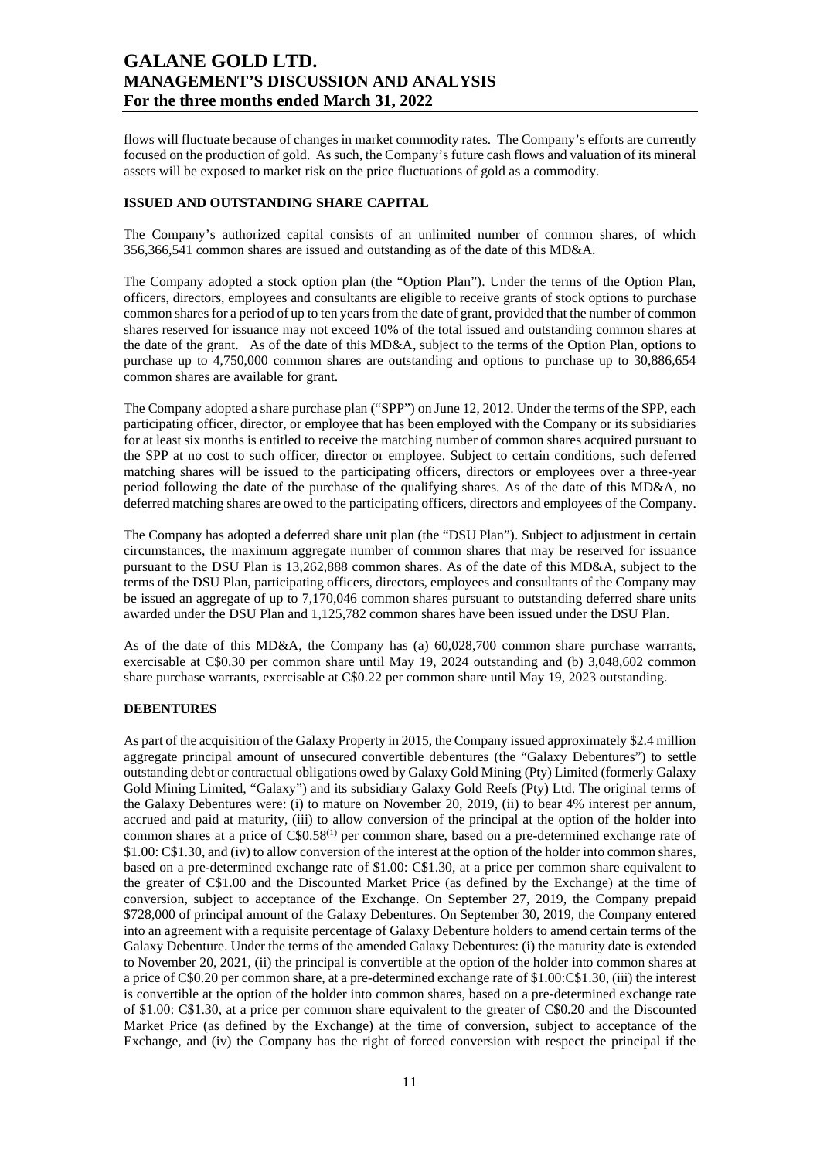flows will fluctuate because of changes in market commodity rates. The Company's efforts are currently focused on the production of gold. As such, the Company's future cash flows and valuation of its mineral assets will be exposed to market risk on the price fluctuations of gold as a commodity.

### **ISSUED AND OUTSTANDING SHARE CAPITAL**

The Company's authorized capital consists of an unlimited number of common shares, of which 356,366,541 common shares are issued and outstanding as of the date of this MD&A.

The Company adopted a stock option plan (the "Option Plan"). Under the terms of the Option Plan, officers, directors, employees and consultants are eligible to receive grants of stock options to purchase common shares for a period of up to ten years from the date of grant, provided that the number of common shares reserved for issuance may not exceed 10% of the total issued and outstanding common shares at the date of the grant. As of the date of this MD&A, subject to the terms of the Option Plan, options to purchase up to 4,750,000 common shares are outstanding and options to purchase up to 30,886,654 common shares are available for grant.

The Company adopted a share purchase plan ("SPP") on June 12, 2012. Under the terms of the SPP, each participating officer, director, or employee that has been employed with the Company or its subsidiaries for at least six months is entitled to receive the matching number of common shares acquired pursuant to the SPP at no cost to such officer, director or employee. Subject to certain conditions, such deferred matching shares will be issued to the participating officers, directors or employees over a three-year period following the date of the purchase of the qualifying shares. As of the date of this MD&A, no deferred matching shares are owed to the participating officers, directors and employees of the Company.

The Company has adopted a deferred share unit plan (the "DSU Plan"). Subject to adjustment in certain circumstances, the maximum aggregate number of common shares that may be reserved for issuance pursuant to the DSU Plan is 13,262,888 common shares. As of the date of this MD&A, subject to the terms of the DSU Plan, participating officers, directors, employees and consultants of the Company may be issued an aggregate of up to 7,170,046 common shares pursuant to outstanding deferred share units awarded under the DSU Plan and 1,125,782 common shares have been issued under the DSU Plan.

As of the date of this MD&A, the Company has (a) 60,028,700 common share purchase warrants, exercisable at C\$0.30 per common share until May 19, 2024 outstanding and (b) 3,048,602 common share purchase warrants, exercisable at C\$0.22 per common share until May 19, 2023 outstanding.

### **DEBENTURES**

As part of the acquisition of the Galaxy Property in 2015, the Company issued approximately \$2.4 million aggregate principal amount of unsecured convertible debentures (the "Galaxy Debentures") to settle outstanding debt or contractual obligations owed by Galaxy Gold Mining (Pty) Limited (formerly Galaxy Gold Mining Limited, "Galaxy") and its subsidiary Galaxy Gold Reefs (Pty) Ltd. The original terms of the Galaxy Debentures were: (i) to mature on November 20, 2019, (ii) to bear 4% interest per annum, accrued and paid at maturity, (iii) to allow conversion of the principal at the option of the holder into common shares at a price of C\$0.58<sup>(1)</sup> per common share, based on a pre-determined exchange rate of \$1.00: C\$1.30, and (iv) to allow conversion of the interest at the option of the holder into common shares, based on a pre-determined exchange rate of \$1.00: C\$1.30, at a price per common share equivalent to the greater of C\$1.00 and the Discounted Market Price (as defined by the Exchange) at the time of conversion, subject to acceptance of the Exchange. On September 27, 2019, the Company prepaid \$728,000 of principal amount of the Galaxy Debentures. On September 30, 2019, the Company entered into an agreement with a requisite percentage of Galaxy Debenture holders to amend certain terms of the Galaxy Debenture. Under the terms of the amended Galaxy Debentures: (i) the maturity date is extended to November 20, 2021, (ii) the principal is convertible at the option of the holder into common shares at a price of C\$0.20 per common share, at a pre-determined exchange rate of \$1.00:C\$1.30, (iii) the interest is convertible at the option of the holder into common shares, based on a pre-determined exchange rate of \$1.00: C\$1.30, at a price per common share equivalent to the greater of C\$0.20 and the Discounted Market Price (as defined by the Exchange) at the time of conversion, subject to acceptance of the Exchange, and (iv) the Company has the right of forced conversion with respect the principal if the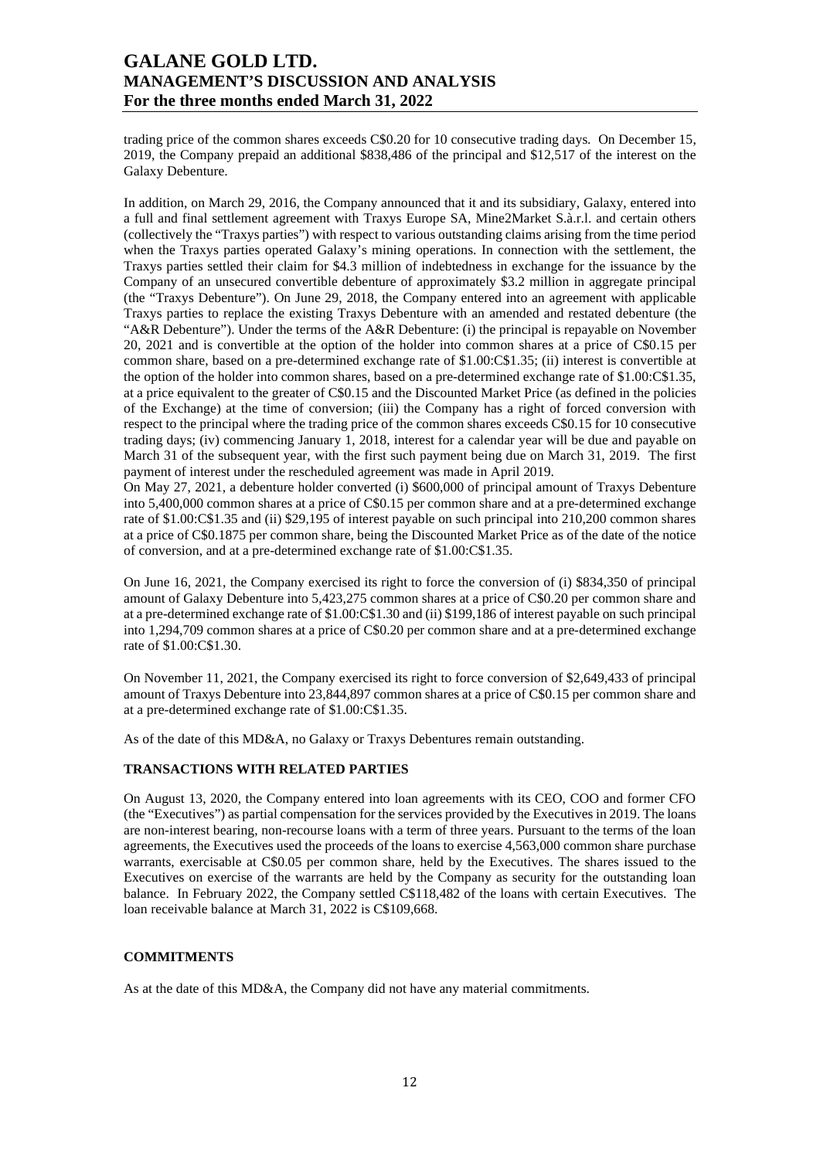trading price of the common shares exceeds C\$0.20 for 10 consecutive trading days. On December 15, 2019, the Company prepaid an additional \$838,486 of the principal and \$12,517 of the interest on the Galaxy Debenture.

In addition, on March 29, 2016, the Company announced that it and its subsidiary, Galaxy, entered into a full and final settlement agreement with Traxys Europe SA, Mine2Market S.à.r.l. and certain others (collectively the "Traxys parties") with respect to various outstanding claims arising from the time period when the Traxys parties operated Galaxy's mining operations. In connection with the settlement, the Traxys parties settled their claim for \$4.3 million of indebtedness in exchange for the issuance by the Company of an unsecured convertible debenture of approximately \$3.2 million in aggregate principal (the "Traxys Debenture"). On June 29, 2018, the Company entered into an agreement with applicable Traxys parties to replace the existing Traxys Debenture with an amended and restated debenture (the "A&R Debenture"). Under the terms of the A&R Debenture: (i) the principal is repayable on November 20, 2021 and is convertible at the option of the holder into common shares at a price of C\$0.15 per common share, based on a pre-determined exchange rate of \$1.00:C\$1.35; (ii) interest is convertible at the option of the holder into common shares, based on a pre-determined exchange rate of \$1.00:C\$1.35, at a price equivalent to the greater of C\$0.15 and the Discounted Market Price (as defined in the policies of the Exchange) at the time of conversion; (iii) the Company has a right of forced conversion with respect to the principal where the trading price of the common shares exceeds C\$0.15 for 10 consecutive trading days; (iv) commencing January 1, 2018, interest for a calendar year will be due and payable on March 31 of the subsequent year, with the first such payment being due on March 31, 2019. The first payment of interest under the rescheduled agreement was made in April 2019.

On May 27, 2021, a debenture holder converted (i) \$600,000 of principal amount of Traxys Debenture into 5,400,000 common shares at a price of C\$0.15 per common share and at a pre-determined exchange rate of \$1.00:C\$1.35 and (ii) \$29,195 of interest payable on such principal into 210,200 common shares at a price of C\$0.1875 per common share, being the Discounted Market Price as of the date of the notice of conversion, and at a pre-determined exchange rate of \$1.00:C\$1.35.

On June 16, 2021, the Company exercised its right to force the conversion of (i) \$834,350 of principal amount of Galaxy Debenture into 5,423,275 common shares at a price of C\$0.20 per common share and at a pre-determined exchange rate of \$1.00:C\$1.30 and (ii) \$199,186 of interest payable on such principal into 1,294,709 common shares at a price of C\$0.20 per common share and at a pre-determined exchange rate of \$1.00:C\$1.30.

On November 11, 2021, the Company exercised its right to force conversion of \$2,649,433 of principal amount of Traxys Debenture into 23,844,897 common shares at a price of C\$0.15 per common share and at a pre-determined exchange rate of \$1.00:C\$1.35.

As of the date of this MD&A, no Galaxy or Traxys Debentures remain outstanding.

### **TRANSACTIONS WITH RELATED PARTIES**

On August 13, 2020, the Company entered into loan agreements with its CEO, COO and former CFO (the "Executives") as partial compensation for the services provided by the Executives in 2019. The loans are non-interest bearing, non-recourse loans with a term of three years. Pursuant to the terms of the loan agreements, the Executives used the proceeds of the loans to exercise 4,563,000 common share purchase warrants, exercisable at C\$0.05 per common share, held by the Executives. The shares issued to the Executives on exercise of the warrants are held by the Company as security for the outstanding loan balance. In February 2022, the Company settled C\$118,482 of the loans with certain Executives. The loan receivable balance at March 31, 2022 is C\$109,668.

### **COMMITMENTS**

As at the date of this MD&A, the Company did not have any material commitments.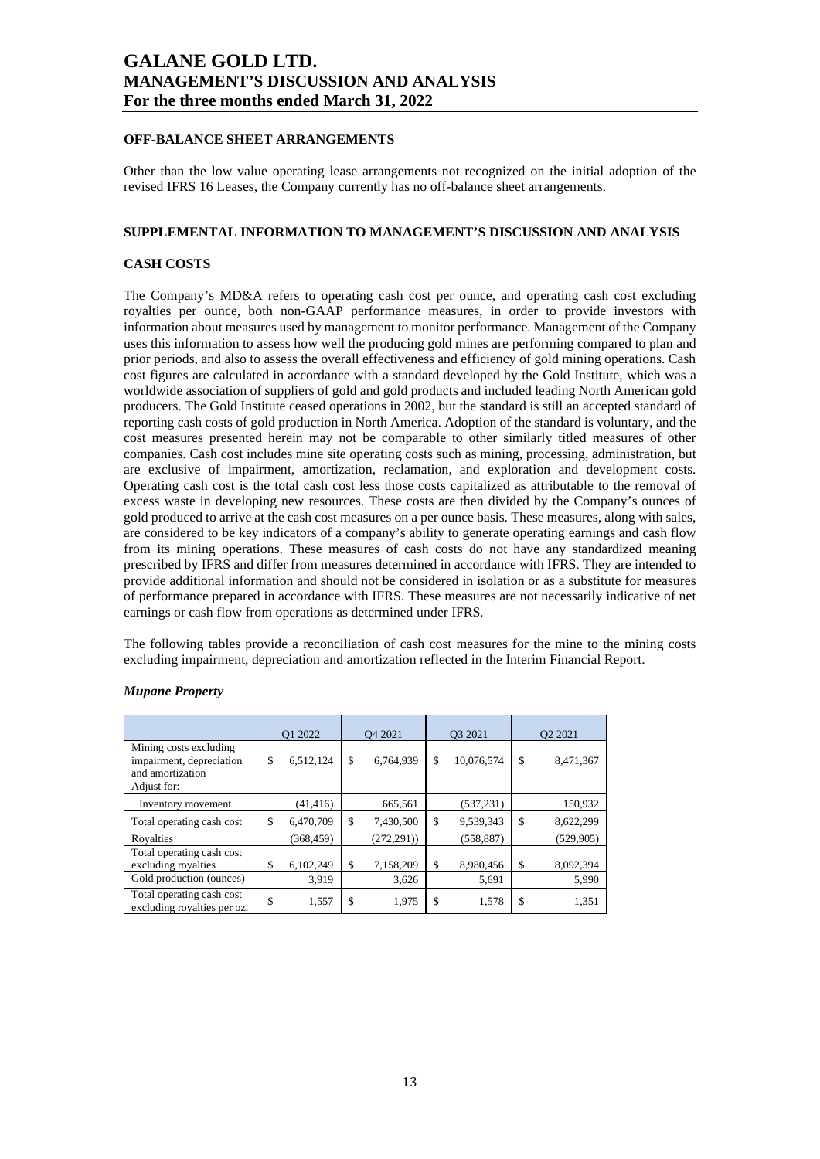### **OFF-BALANCE SHEET ARRANGEMENTS**

Other than the low value operating lease arrangements not recognized on the initial adoption of the revised IFRS 16 Leases, the Company currently has no off-balance sheet arrangements.

### **SUPPLEMENTAL INFORMATION TO MANAGEMENT'S DISCUSSION AND ANALYSIS**

### **CASH COSTS**

The Company's MD&A refers to operating cash cost per ounce, and operating cash cost excluding royalties per ounce, both non-GAAP performance measures, in order to provide investors with information about measures used by management to monitor performance. Management of the Company uses this information to assess how well the producing gold mines are performing compared to plan and prior periods, and also to assess the overall effectiveness and efficiency of gold mining operations. Cash cost figures are calculated in accordance with a standard developed by the Gold Institute, which was a worldwide association of suppliers of gold and gold products and included leading North American gold producers. The Gold Institute ceased operations in 2002, but the standard is still an accepted standard of reporting cash costs of gold production in North America. Adoption of the standard is voluntary, and the cost measures presented herein may not be comparable to other similarly titled measures of other companies. Cash cost includes mine site operating costs such as mining, processing, administration, but are exclusive of impairment, amortization, reclamation, and exploration and development costs. Operating cash cost is the total cash cost less those costs capitalized as attributable to the removal of excess waste in developing new resources. These costs are then divided by the Company's ounces of gold produced to arrive at the cash cost measures on a per ounce basis. These measures, along with sales, are considered to be key indicators of a company's ability to generate operating earnings and cash flow from its mining operations. These measures of cash costs do not have any standardized meaning prescribed by IFRS and differ from measures determined in accordance with IFRS. They are intended to provide additional information and should not be considered in isolation or as a substitute for measures of performance prepared in accordance with IFRS. These measures are not necessarily indicative of net earnings or cash flow from operations as determined under IFRS.

The following tables provide a reconciliation of cash cost measures for the mine to the mining costs excluding impairment, depreciation and amortization reflected in the Interim Financial Report.

|                                                                        | O1 2022         | O <sub>4</sub> 2021 | O3 2021 |            | O <sub>2</sub> 2021 |
|------------------------------------------------------------------------|-----------------|---------------------|---------|------------|---------------------|
| Mining costs excluding<br>impairment, depreciation<br>and amortization | \$<br>6,512,124 | \$<br>6,764,939     | \$      | 10,076,574 | \$<br>8,471,367     |
| Adjust for:                                                            |                 |                     |         |            |                     |
| Inventory movement                                                     | (41, 416)       | 665,561             |         | (537, 231) | 150,932             |
| Total operating cash cost                                              | \$<br>6,470,709 | \$<br>7,430,500     | \$      | 9,539,343  | \$<br>8,622,299     |
| Rovalties                                                              | (368, 459)      | (272, 291)          |         | (558, 887) | (529, 905)          |
| Total operating cash cost<br>excluding royalties                       | \$<br>6,102,249 | \$<br>7,158,209     | \$      | 8,980,456  | \$<br>8,092,394     |
| Gold production (ounces)                                               | 3.919           | 3,626               |         | 5,691      | 5,990               |
| Total operating cash cost<br>excluding royalties per oz.               | \$<br>1,557     | \$<br>1,975         | \$      | 1,578      | \$<br>1,351         |

#### *Mupane Property*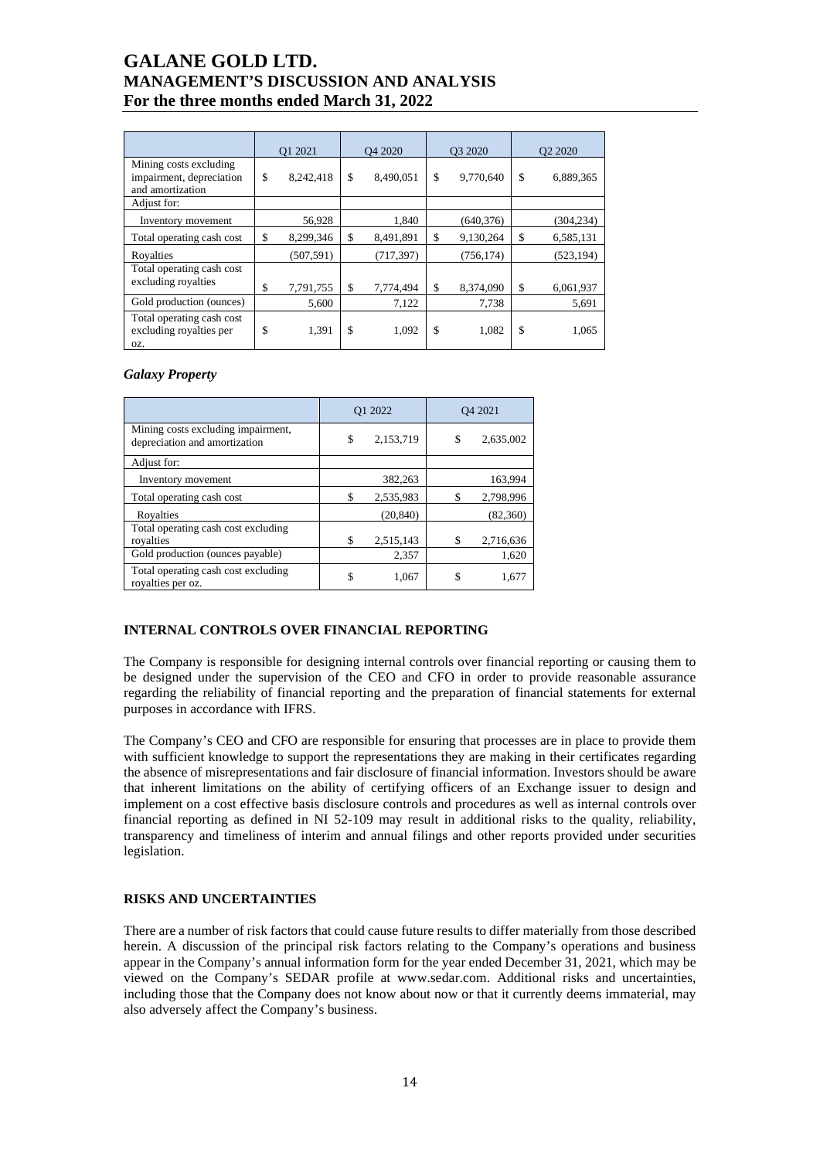|                                                                        | O1 2021         |    | O <sub>4</sub> 2020 |    | O3 2020    |    | O <sub>2</sub> 2020 |  |
|------------------------------------------------------------------------|-----------------|----|---------------------|----|------------|----|---------------------|--|
| Mining costs excluding<br>impairment, depreciation<br>and amortization | \$<br>8,242,418 | \$ | 8,490,051           | \$ | 9,770,640  | \$ | 6,889,365           |  |
| Adjust for:                                                            |                 |    |                     |    |            |    |                     |  |
| Inventory movement                                                     | 56,928          |    | 1,840               |    | (640, 376) |    | (304, 234)          |  |
| Total operating cash cost                                              | \$<br>8,299,346 | \$ | 8,491,891           | \$ | 9,130,264  | \$ | 6,585,131           |  |
| Royalties                                                              | (507, 591)      |    | (717, 397)          |    | (756, 174) |    | (523, 194)          |  |
| Total operating cash cost<br>excluding royalties                       | \$<br>7,791,755 | \$ | 7,774,494           | \$ | 8,374,090  | \$ | 6,061,937           |  |
| Gold production (ounces)                                               | 5,600           |    | 7,122               |    | 7,738      |    | 5,691               |  |
| Total operating cash cost<br>excluding royalties per<br>OZ.            | \$<br>1,391     | \$ | 1,092               | \$ | 1,082      | \$ | 1,065               |  |

### *Galaxy Property*

|                                                                     | O1 2022 |           | O <sub>4</sub> 2021 |           |
|---------------------------------------------------------------------|---------|-----------|---------------------|-----------|
| Mining costs excluding impairment,<br>depreciation and amortization | \$      | 2,153,719 | \$                  | 2,635,002 |
| Adjust for:                                                         |         |           |                     |           |
| Inventory movement                                                  |         | 382,263   |                     | 163,994   |
| Total operating cash cost                                           | S       | 2,535,983 |                     | 2,798,996 |
| Royalties                                                           |         | (20, 840) |                     | (82,360)  |
| Total operating cash cost excluding<br>royalties                    | S       | 2,515,143 |                     | 2,716,636 |
| Gold production (ounces payable)                                    |         | 2,357     |                     | 1,620     |
| Total operating cash cost excluding<br>royalties per oz.            | \$      | 1,067     | \$                  | 1.677     |

### **INTERNAL CONTROLS OVER FINANCIAL REPORTING**

The Company is responsible for designing internal controls over financial reporting or causing them to be designed under the supervision of the CEO and CFO in order to provide reasonable assurance regarding the reliability of financial reporting and the preparation of financial statements for external purposes in accordance with IFRS.

The Company's CEO and CFO are responsible for ensuring that processes are in place to provide them with sufficient knowledge to support the representations they are making in their certificates regarding the absence of misrepresentations and fair disclosure of financial information. Investors should be aware that inherent limitations on the ability of certifying officers of an Exchange issuer to design and implement on a cost effective basis disclosure controls and procedures as well as internal controls over financial reporting as defined in NI 52-109 may result in additional risks to the quality, reliability, transparency and timeliness of interim and annual filings and other reports provided under securities legislation.

### **RISKS AND UNCERTAINTIES**

There are a number of risk factors that could cause future results to differ materially from those described herein. A discussion of the principal risk factors relating to the Company's operations and business appear in the Company's annual information form for the year ended December 31, 2021, which may be viewed on the Company's SEDAR profile at www.sedar.com. Additional risks and uncertainties, including those that the Company does not know about now or that it currently deems immaterial, may also adversely affect the Company's business.